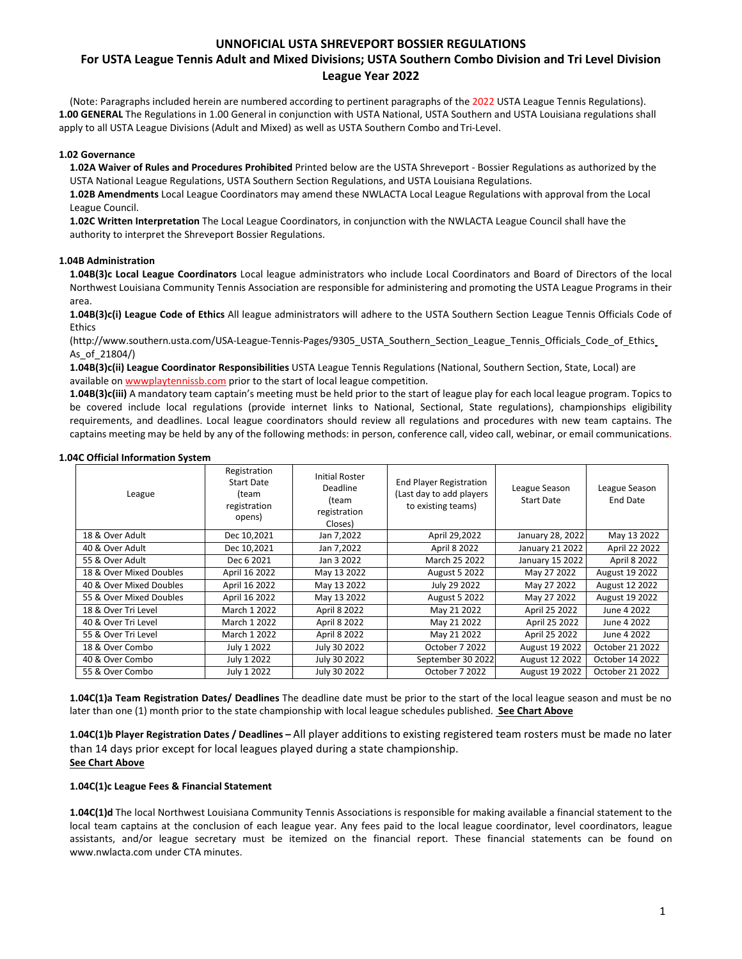# **For USTA League Tennis Adult and Mixed Divisions; USTA Southern Combo Division and Tri Level Division League Year 2022**

(Note: Paragraphs included herein are numbered according to pertinent paragraphs of the 2022 USTA League Tennis Regulations). **1.00 GENERAL** The Regulations in 1.00 General in conjunction with USTA National, USTA Southern and USTA Louisiana regulations shall apply to all USTA League Divisions (Adult and Mixed) as well as USTA Southern Combo and Tri-Level.

### **1.02 Governance**

**1.02A Waiver of Rules and Procedures Prohibited** Printed below are the USTA Shreveport - Bossier Regulations as authorized by the USTA National League Regulations, USTA Southern Section Regulations, and USTA Louisiana Regulations.

**1.02B Amendments** Local League Coordinators may amend these NWLACTA Local League Regulations with approval from the Local League Council.

**1.02C Written Interpretation** The Local League Coordinators, in conjunction with the NWLACTA League Council shall have the authority to interpret the Shreveport Bossier Regulations.

### **1.04B Administration**

**1.04B(3)c Local League Coordinators** Local league administrators who include Local Coordinators and Board of Directors of the local Northwest Louisiana Community Tennis Association are responsible for administering and promoting the USTA League Programs in their area.

**1.04B(3)c(i) League Code of Ethics** All league administrators will adhere to the USTA Southern Section League Tennis Officials Code of **Ethics** 

(http://www.southern.usta.com/USA-League-Tennis-Pages/9305\_USTA\_Southern\_Section\_League\_Tennis\_Officials\_Code\_of\_Ethics As\_of\_21804/)

**1.04B(3)c(ii) League Coordinator Responsibilities** USTA League Tennis Regulations (National, Southern Section, State, Local) are available on wwwplaytennissb.com prior to the start of local league competition.

**1.04B(3)c(iii)** A mandatory team captain's meeting must be held prior to the start of league play for each local league program. Topics to be covered include local regulations (provide internet links to National, Sectional, State regulations), championships eligibility requirements, and deadlines. Local league coordinators should review all regulations and procedures with new team captains. The captains meeting may be held by any of the following methods: in person, conference call, video call, webinar, or email communications.

### **1.04C Official Information System**

| League                  | Registration<br><b>Start Date</b><br>(team<br>registration<br>opens) | <b>Initial Roster</b><br>Deadline<br>(team<br>registration<br>Closes) | <b>End Player Registration</b><br>(Last day to add players<br>to existing teams) | League Season<br><b>Start Date</b> | League Season<br>End Date |
|-------------------------|----------------------------------------------------------------------|-----------------------------------------------------------------------|----------------------------------------------------------------------------------|------------------------------------|---------------------------|
| 18 & Over Adult         | Dec 10,2021                                                          | Jan 7,2022                                                            | April 29,2022                                                                    | January 28, 2022                   | May 13 2022               |
| 40 & Over Adult         | Dec 10,2021                                                          | Jan 7,2022                                                            | April 8 2022                                                                     | January 21 2022                    | April 22 2022             |
| 55 & Over Adult         | Dec 6 2021                                                           | Jan 3 2022                                                            | March 25 2022                                                                    | January 15 2022                    | April 8 2022              |
| 18 & Over Mixed Doubles | April 16 2022                                                        | May 13 2022                                                           | <b>August 5 2022</b>                                                             | May 27 2022                        | August 19 2022            |
| 40 & Over Mixed Doubles | April 16 2022                                                        | May 13 2022                                                           | July 29 2022                                                                     | May 27 2022                        | August 12 2022            |
| 55 & Over Mixed Doubles | April 16 2022                                                        | May 13 2022                                                           | <b>August 5 2022</b>                                                             | May 27 2022                        | August 19 2022            |
| 18 & Over Tri Level     | March 1 2022                                                         | April 8 2022                                                          | May 21 2022                                                                      | April 25 2022                      | June 4 2022               |
| 40 & Over Tri Level     | March 1 2022                                                         | April 8 2022                                                          | May 21 2022                                                                      | April 25 2022                      | June 4 2022               |
| 55 & Over Tri Level     | March 1 2022                                                         | April 8 2022                                                          | May 21 2022                                                                      | April 25 2022                      | June 4 2022               |
| 18 & Over Combo         | July 1 2022                                                          | July 30 2022                                                          | October 7 2022                                                                   | August 19 2022                     | October 21 2022           |
| 40 & Over Combo         | July 1 2022                                                          | July 30 2022                                                          | September 30 2022                                                                | August 12 2022                     | October 14 2022           |
| 55 & Over Combo         | July 1 2022                                                          | July 30 2022                                                          | October 7 2022                                                                   | August 19 2022                     | October 21 2022           |

**1.04C(1)a Team Registration Dates/ Deadlines** The deadline date must be prior to the start of the local league season and must be no later than one (1) month prior to the state championship with local league schedules published. **See Chart Above** 

**1.04C(1)b Player Registration Dates / Deadlines –** All player additions to existing registered team rosters must be made no later than 14 days prior except for local leagues played during a state championship. **See Chart Above** 

### **1.04C(1)c League Fees & Financial Statement**

**1.04C(1)d** The local Northwest Louisiana Community Tennis Associations is responsible for making available a financial statement to the local team captains at the conclusion of each league year. Any fees paid to the local league coordinator, level coordinators, league assistants, and/or league secretary must be itemized on the financial report. These financial statements can be found on www.nwlacta.com under CTA minutes.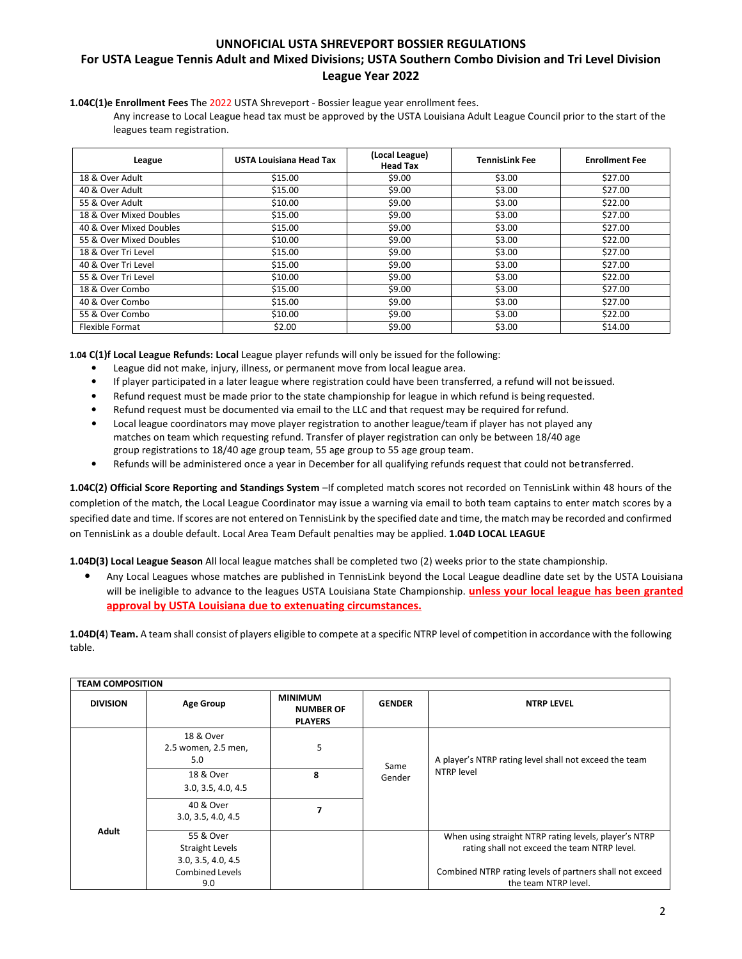# **UNNOFICIAL USTA SHREVEPORT BOSSIER REGULATIONS For USTA League Tennis Adult and Mixed Divisions; USTA Southern Combo Division and Tri Level Division League Year 2022**

**1.04C(1)e Enrollment Fees** The 2022 USTA Shreveport - Bossier league year enrollment fees.

Any increase to Local League head tax must be approved by the USTA Louisiana Adult League Council prior to the start of the leagues team registration.

| League                  | <b>USTA Louisiana Head Tax</b> | (Local League)<br><b>Head Tax</b> | <b>TennisLink Fee</b> | <b>Enrollment Fee</b> |
|-------------------------|--------------------------------|-----------------------------------|-----------------------|-----------------------|
| 18 & Over Adult         | \$15.00                        | \$9.00                            | \$3.00                | \$27.00               |
| 40 & Over Adult         | \$15.00                        | \$9.00                            | \$3.00                | \$27.00               |
| 55 & Over Adult         | \$10.00                        | \$9.00                            | \$3.00                | \$22.00               |
| 18 & Over Mixed Doubles | \$15.00                        | \$9.00                            | \$3.00                | \$27.00               |
| 40 & Over Mixed Doubles | \$15.00                        | \$9.00                            | \$3.00                | \$27.00               |
| 55 & Over Mixed Doubles | \$10.00                        | \$9.00                            | \$3.00                | \$22.00               |
| 18 & Over Tri Level     | \$15.00                        | \$9.00                            | \$3.00                | \$27.00               |
| 40 & Over Tri Level     | \$15.00                        | \$9.00                            | \$3.00                | \$27.00               |
| 55 & Over Tri Level     | \$10.00                        | \$9.00                            | \$3.00                | \$22.00               |
| 18 & Over Combo         | \$15.00                        | \$9.00                            | \$3.00                | \$27.00               |
| 40 & Over Combo         | \$15.00                        | \$9.00                            | \$3.00                | \$27.00               |
| 55 & Over Combo         | \$10.00                        | \$9.00                            | \$3.00                | \$22.00               |
| Flexible Format         | \$2.00                         | \$9.00                            | \$3.00                | \$14.00               |

**1.04 C(1)f Local League Refunds: Local** League player refunds will only be issued for the following:

- League did not make, injury, illness, or permanent move from local league area.
- If player participated in a later league where registration could have been transferred, a refund will not be issued.
- Refund request must be made prior to the state championship for league in which refund is being requested.
- Refund request must be documented via email to the LLC and that request may be required for refund.
- Local league coordinators may move player registration to another league/team if player has not played any matches on team which requesting refund. Transfer of player registration can only be between 18/40 age group registrations to 18/40 age group team, 55 age group to 55 age group team.
- Refunds will be administered once a year in December for all qualifying refunds request that could not be transferred.

**1.04C(2) Official Score Reporting and Standings System** –If completed match scores not recorded on TennisLink within 48 hours of the completion of the match, the Local League Coordinator may issue a warning via email to both team captains to enter match scores by a specified date and time. If scores are not entered on TennisLink by the specified date and time, the match may be recorded and confirmed on TennisLink as a double default. Local Area Team Default penalties may be applied. **1.04D LOCAL LEAGUE** 

**1.04D(3) Local League Season** All local league matches shall be completed two (2) weeks prior to the state championship.

• Any Local Leagues whose matches are published in TennisLink beyond the Local League deadline date set by the USTA Louisiana will be ineligible to advance to the leagues USTA Louisiana State Championship. **unless your local league has been granted approval by USTA Louisiana due to extenuating circumstances.**

**1.04D(4**) **Team.** A team shall consist of players eligible to compete at a specific NTRP level of competition in accordance with the following table.

|                 | <b>TEAM COMPOSITION</b>                                   |                                                      |               |                                                                                                       |  |  |
|-----------------|-----------------------------------------------------------|------------------------------------------------------|---------------|-------------------------------------------------------------------------------------------------------|--|--|
| <b>DIVISION</b> | <b>Age Group</b>                                          | <b>MINIMUM</b><br><b>NUMBER OF</b><br><b>PLAYERS</b> | <b>GENDER</b> | <b>NTRP LEVEL</b>                                                                                     |  |  |
|                 | 18 & Over<br>2.5 women, 2.5 men,<br>5.0                   | 5                                                    | Same          | A player's NTRP rating level shall not exceed the team                                                |  |  |
|                 | 18 & Over<br>3.0, 3.5, 4.0, 4.5                           | 8                                                    | Gender        | NTRP level                                                                                            |  |  |
|                 | 40 & Over<br>3.0, 3.5, 4.0, 4.5                           |                                                      |               |                                                                                                       |  |  |
| Adult           | 55 & Over<br><b>Straight Levels</b><br>3.0, 3.5, 4.0, 4.5 |                                                      |               | When using straight NTRP rating levels, player's NTRP<br>rating shall not exceed the team NTRP level. |  |  |
|                 | <b>Combined Levels</b><br>9.0                             |                                                      |               | Combined NTRP rating levels of partners shall not exceed<br>the team NTRP level.                      |  |  |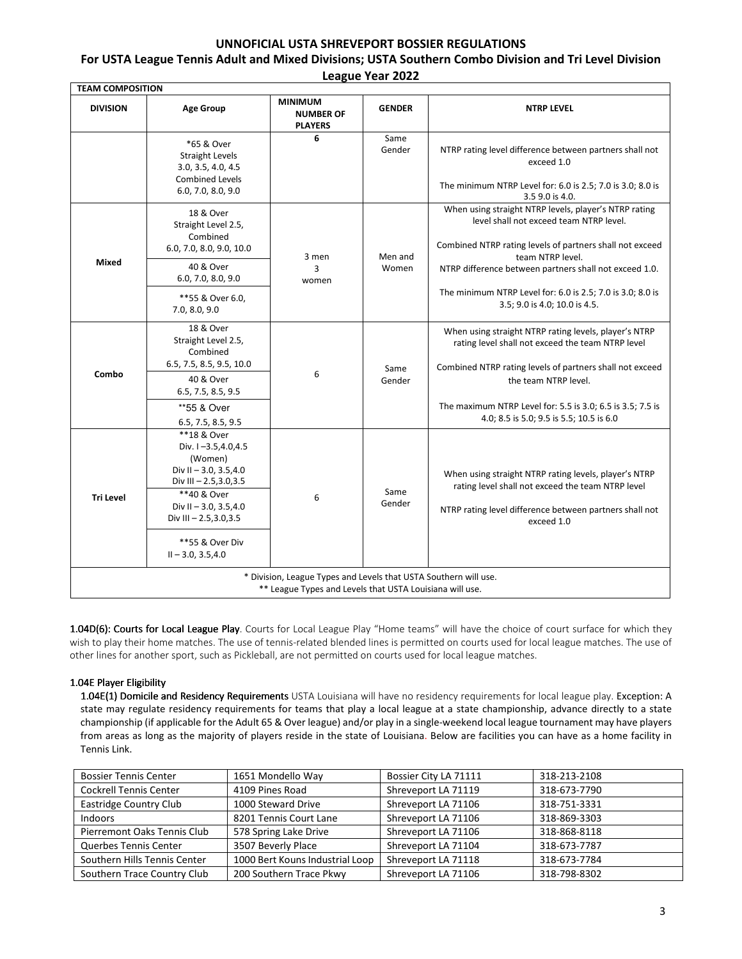# **UNNOFICIAL USTA SHREVEPORT BOSSIER REGULATIONS For USTA League Tennis Adult and Mixed Divisions; USTA Southern Combo Division and Tri Level Division**

| League Year 2022 |  |  |
|------------------|--|--|
|------------------|--|--|

| <b>TEAM COMPOSITION</b> |                                                                                                                                                                                                                     |                                                                                                                              |                  |                                                                                                                                                                                                                                            |
|-------------------------|---------------------------------------------------------------------------------------------------------------------------------------------------------------------------------------------------------------------|------------------------------------------------------------------------------------------------------------------------------|------------------|--------------------------------------------------------------------------------------------------------------------------------------------------------------------------------------------------------------------------------------------|
| <b>DIVISION</b>         | <b>Age Group</b>                                                                                                                                                                                                    | <b>MINIMUM</b><br><b>NUMBER OF</b><br><b>PLAYERS</b>                                                                         | <b>GENDER</b>    | <b>NTRP LEVEL</b>                                                                                                                                                                                                                          |
|                         | *65 & Over<br><b>Straight Levels</b><br>3.0, 3.5, 4.0, 4.5<br><b>Combined Levels</b><br>6.0, 7.0, 8.0, 9.0                                                                                                          | 6                                                                                                                            | Same<br>Gender   | NTRP rating level difference between partners shall not<br>exceed 1.0<br>The minimum NTRP Level for: 6.0 is 2.5; 7.0 is 3.0; 8.0 is<br>3.5 9.0 is 4.0.                                                                                     |
| <b>Mixed</b>            | 18 & Over<br>Straight Level 2.5,<br>Combined<br>6.0, 7.0, 8.0, 9.0, 10.0<br>40 & Over<br>6.0, 7.0, 8.0, 9.0                                                                                                         | 3 men<br>3<br>women                                                                                                          | Men and<br>Women | When using straight NTRP levels, player's NTRP rating<br>level shall not exceed team NTRP level.<br>Combined NTRP rating levels of partners shall not exceed<br>team NTRP level.<br>NTRP difference between partners shall not exceed 1.0. |
|                         | **55 & Over 6.0,<br>7.0, 8.0, 9.0                                                                                                                                                                                   |                                                                                                                              |                  | The minimum NTRP Level for: 6.0 is 2.5; 7.0 is 3.0; 8.0 is<br>3.5; 9.0 is 4.0; 10.0 is 4.5.                                                                                                                                                |
|                         | 18 & Over<br>Straight Level 2.5,<br>Combined<br>6.5, 7.5, 8.5, 9.5, 10.0                                                                                                                                            |                                                                                                                              | Same             | When using straight NTRP rating levels, player's NTRP<br>rating level shall not exceed the team NTRP level<br>Combined NTRP rating levels of partners shall not exceed                                                                     |
| Combo                   | 40 & Over<br>6.5, 7.5, 8.5, 9.5                                                                                                                                                                                     | 6                                                                                                                            | Gender           | the team NTRP level.                                                                                                                                                                                                                       |
|                         | **55 & Over<br>6.5, 7.5, 8.5, 9.5                                                                                                                                                                                   |                                                                                                                              |                  | The maximum NTRP Level for: 5.5 is 3.0; 6.5 is 3.5; 7.5 is<br>4.0; 8.5 is 5.0; 9.5 is 5.5; 10.5 is 6.0                                                                                                                                     |
| <b>Tri Level</b>        | **18 & Over<br>Div. I-3.5,4.0,4.5<br>(Women)<br>Div II $-3.0, 3.5, 4.0$<br>Div III $- 2.5, 3.0, 3.5$<br>**40 & Over<br>Div II $-3.0, 3.5, 4.0$<br>Div III $-2.5,3.0,3.5$<br>**55 & Over Div<br>$II - 3.0, 3.5, 4.0$ | 6                                                                                                                            | Same<br>Gender   | When using straight NTRP rating levels, player's NTRP<br>rating level shall not exceed the team NTRP level<br>NTRP rating level difference between partners shall not<br>exceed 1.0                                                        |
|                         |                                                                                                                                                                                                                     | * Division, League Types and Levels that USTA Southern will use.<br>** League Types and Levels that USTA Louisiana will use. |                  |                                                                                                                                                                                                                                            |

1.04D(6): Courts for Local League Play. Courts for Local League Play "Home teams" will have the choice of court surface for which they wish to play their home matches. The use of tennis-related blended lines is permitted on courts used for local league matches. The use of other lines for another sport, such as Pickleball, are not permitted on courts used for local league matches.

### 1.04E Player Eligibility

1.04E(1) Domicile and Residency Requirements USTA Louisiana will have no residency requirements for local league play. Exception: A state may regulate residency requirements for teams that play a local league at a state championship, advance directly to a state championship (if applicable for the Adult 65 & Over league) and/or play in a single-weekend local league tournament may have players from areas as long as the majority of players reside in the state of Louisiana. Below are facilities you can have as a home facility in Tennis Link.

| <b>Bossier Tennis Center</b>  | 1651 Mondello Way               | Bossier City LA 71111 | 318-213-2108 |
|-------------------------------|---------------------------------|-----------------------|--------------|
| <b>Cockrell Tennis Center</b> | 4109 Pines Road                 | Shreveport LA 71119   | 318-673-7790 |
| Eastridge Country Club        | 1000 Steward Drive              | Shreveport LA 71106   | 318-751-3331 |
| Indoors                       | 8201 Tennis Court Lane          | Shreveport LA 71106   | 318-869-3303 |
| Pierremont Oaks Tennis Club   | 578 Spring Lake Drive           | Shreveport LA 71106   | 318-868-8118 |
| Querbes Tennis Center         | 3507 Beverly Place              | Shreveport LA 71104   | 318-673-7787 |
| Southern Hills Tennis Center  | 1000 Bert Kouns Industrial Loop | Shreveport LA 71118   | 318-673-7784 |
| Southern Trace Country Club   | 200 Southern Trace Pkwy         | Shreveport LA 71106   | 318-798-8302 |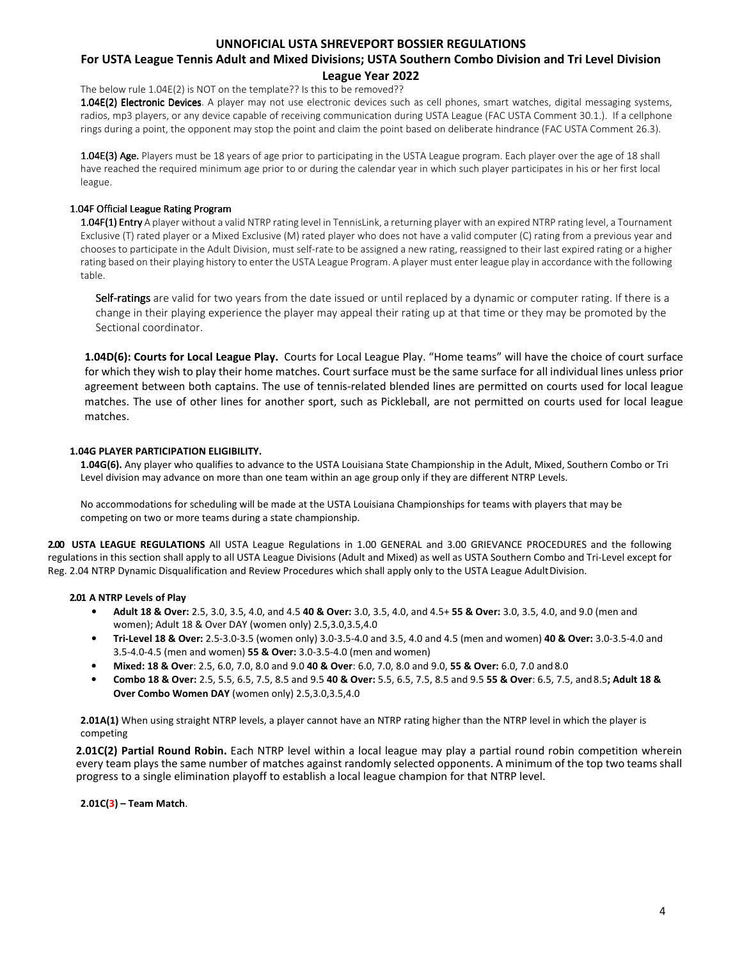# **For USTA League Tennis Adult and Mixed Divisions; USTA Southern Combo Division and Tri Level Division**

# **League Year 2022**

The below rule 1.04E(2) is NOT on the template?? Is this to be removed??

1.04E(2) Electronic Devices. A player may not use electronic devices such as cell phones, smart watches, digital messaging systems, radios, mp3 players, or any device capable of receiving communication during USTA League (FAC USTA Comment 30.1.). If a cellphone rings during a point, the opponent may stop the point and claim the point based on deliberate hindrance (FAC USTA Comment 26.3).

1.04E(3) Age. Players must be 18 years of age prior to participating in the USTA League program. Each player over the age of 18 shall have reached the required minimum age prior to or during the calendar year in which such player participates in his or her first local league.

### 1.04F Official League Rating Program

1.04F(1) Entry A player without a valid NTRP rating level in TennisLink, a returning player with an expired NTRP rating level, a Tournament Exclusive (T) rated player or a Mixed Exclusive (M) rated player who does not have a valid computer (C) rating from a previous year and chooses to participate in the Adult Division, must self-rate to be assigned a new rating, reassigned to their last expired rating or a higher rating based on their playing history to enter the USTA League Program. A player must enter league play in accordance with the following table.

Self-ratings are valid for two years from the date issued or until replaced by a dynamic or computer rating. If there is a change in their playing experience the player may appeal their rating up at that time or they may be promoted by the Sectional coordinator.

**1.04D(6): Courts for Local League Play.** Courts for Local League Play. "Home teams" will have the choice of court surface for which they wish to play their home matches. Court surface must be the same surface for all individual lines unless prior agreement between both captains. The use of tennis-related blended lines are permitted on courts used for local league matches. The use of other lines for another sport, such as Pickleball, are not permitted on courts used for local league matches.

### **1.04G PLAYER PARTICIPATION ELIGIBILITY.**

**1.04G(6).** Any player who qualifies to advance to the USTA Louisiana State Championship in the Adult, Mixed, Southern Combo or Tri Level division may advance on more than one team within an age group only if they are different NTRP Levels.

No accommodations for scheduling will be made at the USTA Louisiana Championships for teams with players that may be competing on two or more teams during a state championship.

**2.00 USTA LEAGUE REGULATIONS** All USTA League Regulations in 1.00 GENERAL and 3.00 GRIEVANCE PROCEDURES and the following regulations in this section shall apply to all USTA League Divisions (Adult and Mixed) as well as USTA Southern Combo and Tri-Level except for Reg. 2.04 NTRP Dynamic Disqualification and Review Procedures which shall apply only to the USTA League Adult Division.

### **2.01 A NTRP Levels of Play**

- **Adult 18 & Over:** 2.5, 3.0, 3.5, 4.0, and 4.5 **40 & Over:** 3.0, 3.5, 4.0, and 4.5+ **55 & Over:** 3.0, 3.5, 4.0, and 9.0 (men and women); Adult 18 & Over DAY (women only) 2.5,3.0,3.5,4.0
- **Tri-Level 18 & Over:** 2.5-3.0-3.5 (women only) 3.0-3.5-4.0 and 3.5, 4.0 and 4.5 (men and women) **40 & Over:** 3.0-3.5-4.0 and 3.5-4.0-4.5 (men and women) **55 & Over:** 3.0-3.5-4.0 (men and women)
- **Mixed: 18 & Over**: 2.5, 6.0, 7.0, 8.0 and 9.0 **40 & Over**: 6.0, 7.0, 8.0 and 9.0, **55 & Over:** 6.0, 7.0 and 8.0
- **Combo 18 & Over:** 2.5, 5.5, 6.5, 7.5, 8.5 and 9.5 **40 & Over:** 5.5, 6.5, 7.5, 8.5 and 9.5 **55 & Over**: 6.5, 7.5, and 8.5**; Adult 18 & Over Combo Women DAY** (women only) 2.5,3.0,3.5,4.0

**2.01A(1)** When using straight NTRP levels, a player cannot have an NTRP rating higher than the NTRP level in which the player is competing

**2.01C(2) Partial Round Robin.** Each NTRP level within a local league may play a partial round robin competition wherein every team plays the same number of matches against randomly selected opponents. A minimum of the top two teams shall progress to a single elimination playoff to establish a local league champion for that NTRP level.

### **2.01C(3) – Team Match**.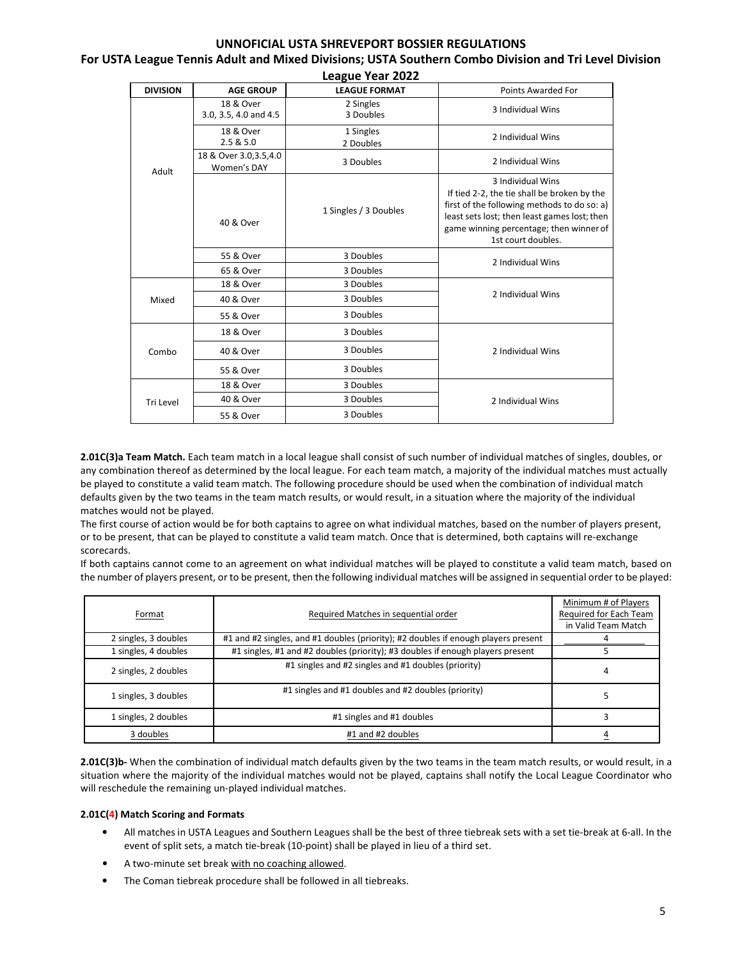### **For USTA League Tennis Adult and Mixed Divisions; USTA Southern Combo Division and Tri Level Division League Year 2022**

|                 |                                        | LCAGUC TCAI LULL       |                                                                                                                                                                                                                                  |  |
|-----------------|----------------------------------------|------------------------|----------------------------------------------------------------------------------------------------------------------------------------------------------------------------------------------------------------------------------|--|
| <b>DIVISION</b> | <b>AGE GROUP</b>                       | <b>LEAGUE FORMAT</b>   | Points Awarded For                                                                                                                                                                                                               |  |
|                 | 18 & Over<br>3.0, 3.5, 4.0 and 4.5     | 2 Singles<br>3 Doubles | 3 Individual Wins                                                                                                                                                                                                                |  |
|                 | 18 & Over<br>2.5 & 5.0                 | 1 Singles<br>2 Doubles | 2 Individual Wins                                                                                                                                                                                                                |  |
| Adult           | 18 & Over 3.0, 3.5, 4.0<br>Women's DAY | 3 Doubles              | 2 Individual Wins                                                                                                                                                                                                                |  |
|                 | 40 & Over                              | 1 Singles / 3 Doubles  | 3 Individual Wins<br>If tied 2-2, the tie shall be broken by the<br>first of the following methods to do so: a)<br>least sets lost; then least games lost; then<br>game winning percentage; then winner of<br>1st court doubles. |  |
|                 | 55 & Over                              | 3 Doubles              | 2 Individual Wins                                                                                                                                                                                                                |  |
|                 | 65 & Over                              | 3 Doubles              |                                                                                                                                                                                                                                  |  |
|                 | 18 & Over                              | 3 Doubles              |                                                                                                                                                                                                                                  |  |
| Mixed           | 40 & Over                              | 3 Doubles              | 2 Individual Wins                                                                                                                                                                                                                |  |
|                 | 55 & Over                              | 3 Doubles              |                                                                                                                                                                                                                                  |  |
|                 | 18 & Over                              | 3 Doubles              |                                                                                                                                                                                                                                  |  |
| Combo           | 40 & Over                              | 3 Doubles              | 2 Individual Wins                                                                                                                                                                                                                |  |
|                 | 55 & Over                              | 3 Doubles              |                                                                                                                                                                                                                                  |  |
|                 | 18 & Over                              | 3 Doubles              |                                                                                                                                                                                                                                  |  |
| Tri Level       | 40 & Over                              | 3 Doubles              | 2 Individual Wins                                                                                                                                                                                                                |  |
|                 | 55 & Over                              | 3 Doubles              |                                                                                                                                                                                                                                  |  |

**2.01C(3)a Team Match.** Each team match in a local league shall consist of such number of individual matches of singles, doubles, or any combination thereof as determined by the local league. For each team match, a majority of the individual matches must actually be played to constitute a valid team match. The following procedure should be used when the combination of individual match defaults given by the two teams in the team match results, or would result, in a situation where the majority of the individual matches would not be played.

The first course of action would be for both captains to agree on what individual matches, based on the number of players present, or to be present, that can be played to constitute a valid team match. Once that is determined, both captains will re-exchange scorecards.

If both captains cannot come to an agreement on what individual matches will be played to constitute a valid team match, based on the number of players present, or to be present, then the following individual matches will be assigned in sequential order to be played:

| Format               | Required Matches in sequential order                                               | Minimum # of Players<br>Required for Each Team<br>in Valid Team Match |
|----------------------|------------------------------------------------------------------------------------|-----------------------------------------------------------------------|
| 2 singles, 3 doubles | #1 and #2 singles, and #1 doubles (priority); #2 doubles if enough players present |                                                                       |
| 1 singles, 4 doubles | #1 singles, #1 and #2 doubles (priority); #3 doubles if enough players present     |                                                                       |
| 2 singles, 2 doubles | #1 singles and #2 singles and #1 doubles (priority)                                | 4                                                                     |
| 1 singles, 3 doubles | #1 singles and #1 doubles and #2 doubles (priority)                                |                                                                       |
| 1 singles, 2 doubles | #1 singles and #1 doubles                                                          | 3                                                                     |
| 3 doubles            | #1 and #2 doubles                                                                  |                                                                       |

2.01C(3)b- When the combination of individual match defaults given by the two teams in the team match results, or would result, in a situation where the majority of the individual matches would not be played, captains shall notify the Local League Coordinator who will reschedule the remaining un-played individual matches.

### **2.01C(4) Match Scoring and Formats**

- All matches in USTA Leagues and Southern Leagues shall be the best of three tiebreak sets with a set tie-break at 6-all. In the event of split sets, a match tie-break (10-point) shall be played in lieu of a third set.
- A two-minute set break with no coaching allowed.
- The Coman tiebreak procedure shall be followed in all tiebreaks.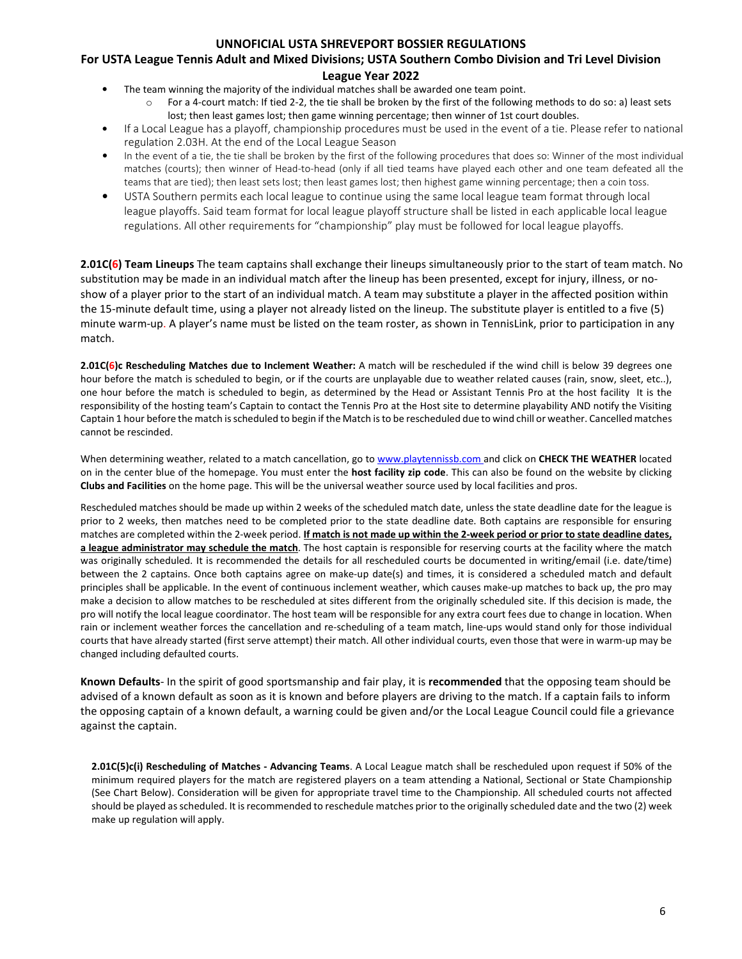# **For USTA League Tennis Adult and Mixed Divisions; USTA Southern Combo Division and Tri Level Division**

### **League Year 2022**

- The team winning the majority of the individual matches shall be awarded one team point.
	- $\circ$  For a 4-court match: If tied 2-2, the tie shall be broken by the first of the following methods to do so: a) least sets lost; then least games lost; then game winning percentage; then winner of 1st court doubles.
- If a Local League has a playoff, championship procedures must be used in the event of a tie. Please refer to national regulation 2.03H. At the end of the Local League Season
- In the event of a tie, the tie shall be broken by the first of the following procedures that does so: Winner of the most individual matches (courts); then winner of Head-to-head (only if all tied teams have played each other and one team defeated all the teams that are tied); then least sets lost; then least games lost; then highest game winning percentage; then a coin toss.
- USTA Southern permits each local league to continue using the same local league team format through local league playoffs. Said team format for local league playoff structure shall be listed in each applicable local league regulations. All other requirements for "championship" play must be followed for local league playoffs.

**2.01C(6) Team Lineups** The team captains shall exchange their lineups simultaneously prior to the start of team match. No substitution may be made in an individual match after the lineup has been presented, except for injury, illness, or noshow of a player prior to the start of an individual match. A team may substitute a player in the affected position within the 15-minute default time, using a player not already listed on the lineup. The substitute player is entitled to a five (5) minute warm-up. A player's name must be listed on the team roster, as shown in TennisLink, prior to participation in any match.

**2.01C(6)c Rescheduling Matches due to Inclement Weather:** A match will be rescheduled if the wind chill is below 39 degrees one hour before the match is scheduled to begin, or if the courts are unplayable due to weather related causes (rain, snow, sleet, etc..), one hour before the match is scheduled to begin, as determined by the Head or Assistant Tennis Pro at the host facility It is the responsibility of the hosting team's Captain to contact the Tennis Pro at the Host site to determine playability AND notify the Visiting Captain 1 hour before the match is scheduled to begin if the Match is to be rescheduled due to wind chill or weather. Cancelled matches cannot be rescinded.

When determining weather, related to a match cancellation, go to www.playtennissb.com and click on **CHECK THE WEATHER** located on in the center blue of the homepage. You must enter the **host facility zip code**. This can also be found on the website by clicking **Clubs and Facilities** on the home page. This will be the universal weather source used by local facilities and pros.

Rescheduled matches should be made up within 2 weeks of the scheduled match date, unless the state deadline date for the league is prior to 2 weeks, then matches need to be completed prior to the state deadline date. Both captains are responsible for ensuring matches are completed within the 2-week period. **If match is not made up within the 2-week period or prior to state deadline dates, a league administrator may schedule the match**. The host captain is responsible for reserving courts at the facility where the match was originally scheduled. It is recommended the details for all rescheduled courts be documented in writing/email (i.e. date/time) between the 2 captains. Once both captains agree on make-up date(s) and times, it is considered a scheduled match and default principles shall be applicable. In the event of continuous inclement weather, which causes make-up matches to back up, the pro may make a decision to allow matches to be rescheduled at sites different from the originally scheduled site. If this decision is made, the pro will notify the local league coordinator. The host team will be responsible for any extra court fees due to change in location. When rain or inclement weather forces the cancellation and re-scheduling of a team match, line-ups would stand only for those individual courts that have already started (first serve attempt) their match. All other individual courts, even those that were in warm-up may be changed including defaulted courts.

**Known Defaults**- In the spirit of good sportsmanship and fair play, it is **recommended** that the opposing team should be advised of a known default as soon as it is known and before players are driving to the match. If a captain fails to inform the opposing captain of a known default, a warning could be given and/or the Local League Council could file a grievance against the captain.

**2.01C(5)c(i) Rescheduling of Matches - Advancing Teams**. A Local League match shall be rescheduled upon request if 50% of the minimum required players for the match are registered players on a team attending a National, Sectional or State Championship (See Chart Below). Consideration will be given for appropriate travel time to the Championship. All scheduled courts not affected should be played as scheduled. It is recommended to reschedule matches prior to the originally scheduled date and the two (2) week make up regulation will apply.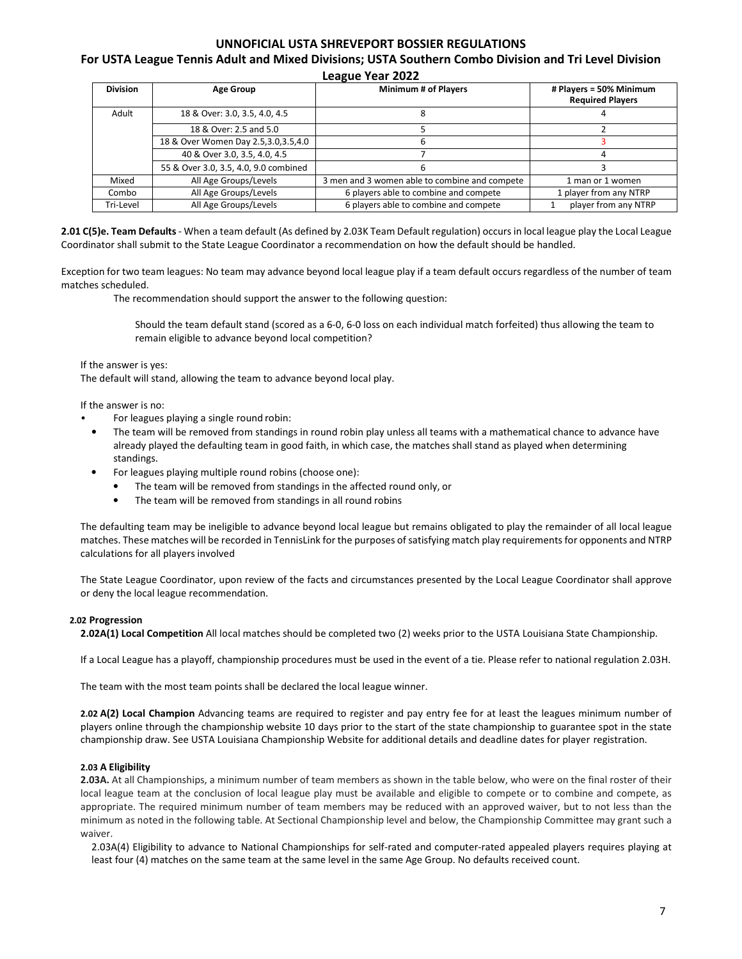#### **For USTA League Tennis Adult and Mixed Divisions; USTA Southern Combo Division and Tri Level Division League Year 2022**

| <b>Division</b><br><b>Minimum # of Players</b><br># Players = 50% Minimum<br>Age Group              |  |
|-----------------------------------------------------------------------------------------------------|--|
| <b>Required Players</b>                                                                             |  |
| Adult<br>18 & Over: 3.0, 3.5, 4.0, 4.5<br>Δ                                                         |  |
| 18 & Over: 2.5 and 5.0                                                                              |  |
| 18 & Over Women Day 2.5,3.0,3.5,4.0<br>ь                                                            |  |
| 40 & Over 3.0, 3.5, 4.0, 4.5                                                                        |  |
| 55 & Over 3.0, 3.5, 4.0, 9.0 combined<br>ь                                                          |  |
| 3 men and 3 women able to combine and compete<br>All Age Groups/Levels<br>Mixed<br>1 man or 1 women |  |
| 6 players able to combine and compete<br>All Age Groups/Levels<br>1 player from any NTRP<br>Combo   |  |
| 6 players able to combine and compete<br>All Age Groups/Levels<br>player from any NTRP<br>Tri-Level |  |

**2.01 C(5)e. Team Defaults** - When a team default (As defined by 2.03K Team Default regulation) occurs in local league play the Local League Coordinator shall submit to the State League Coordinator a recommendation on how the default should be handled.

Exception for two team leagues: No team may advance beyond local league play if a team default occurs regardless of the number of team matches scheduled.

The recommendation should support the answer to the following question:

Should the team default stand (scored as a 6-0, 6-0 loss on each individual match forfeited) thus allowing the team to remain eligible to advance beyond local competition?

If the answer is yes:

The default will stand, allowing the team to advance beyond local play.

If the answer is no:

- For leagues playing a single round robin:
- The team will be removed from standings in round robin play unless all teams with a mathematical chance to advance have already played the defaulting team in good faith, in which case, the matches shall stand as played when determining standings.
- For leagues playing multiple round robins (choose one):
	- The team will be removed from standings in the affected round only, or
	- The team will be removed from standings in all round robins

The defaulting team may be ineligible to advance beyond local league but remains obligated to play the remainder of all local league matches. These matches will be recorded in TennisLink for the purposes of satisfying match play requirements for opponents and NTRP calculations for all players involved

The State League Coordinator, upon review of the facts and circumstances presented by the Local League Coordinator shall approve or deny the local league recommendation.

### **2.02 Progression**

**2.02A(1) Local Competition** All local matches should be completed two (2) weeks prior to the USTA Louisiana State Championship.

If a Local League has a playoff, championship procedures must be used in the event of a tie. Please refer to national regulation 2.03H.

The team with the most team points shall be declared the local league winner.

**2.02 A(2) Local Champion** Advancing teams are required to register and pay entry fee for at least the leagues minimum number of players online through the championship website 10 days prior to the start of the state championship to guarantee spot in the state championship draw. See USTA Louisiana Championship Website for additional details and deadline dates for player registration.

### **2.03 A Eligibility**

**2.03A.** At all Championships, a minimum number of team members as shown in the table below, who were on the final roster of their local league team at the conclusion of local league play must be available and eligible to compete or to combine and compete, as appropriate. The required minimum number of team members may be reduced with an approved waiver, but to not less than the minimum as noted in the following table. At Sectional Championship level and below, the Championship Committee may grant such a waiver.

2.03A(4) Eligibility to advance to National Championships for self-rated and computer-rated appealed players requires playing at least four (4) matches on the same team at the same level in the same Age Group. No defaults received count.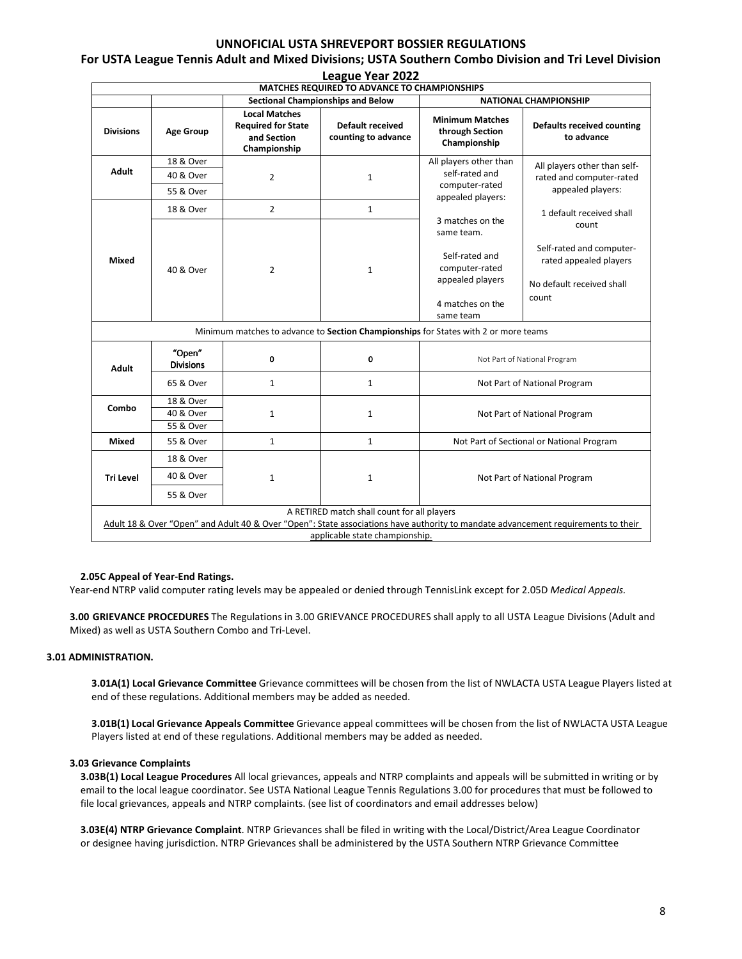#### **League Year 2022 MATCHES REQUIRED TO ADVANCE TO CHAMPIONSHIPS** Sectional Championships and Below **NATIONAL CHAMPIONSHIP Divisions | Age Group Local Matches Required for State and Section Championship Default received counting to advance Minimum Matches through Section Championship Defaults received counting to advance Adult**  18 & Over 2 1 All players other than self-rated and computer-rated appealed players: 3 matches on the same team. Self-rated and computer-rated appealed players 4 matches on the same team All players other than selfrated and computer-rated appealed players: 1 default received shall count Self-rated and computerrated appealed players No default received shall count 40 & Over 55 & Over **Mixed**  18 & Over 2 1 40 & Over 2 2 1 Minimum matches to advance to **Section Championships** for States with 2 or more teams **Adult**  "Open" **Divisions 1998**<br>**Divisions Divisions** 65 & Over | 1 | 1 | 1 | Not Part of National Program **Combo**  18 & Over 40 & Over 1 1 1 1 1 1 Not Part of National Program 55 & Over **Mixed | 55 & Over | 1 1 | 1 | 1 | Not Part of Sectional or National Program Tri Level**  18 & Over 40 & Over  $\begin{array}{ccc} 1 & 1 & 1 \end{array}$  and  $\begin{array}{ccc} 1 & 1 \end{array}$  Not Part of National Program 55 & Over A RETIRED match shall count for all players Adult 18 & Over "Open" and Adult 40 & Over "Open": State associations have authority to mandate advancement requirements to their applicable state championship.

# **For USTA League Tennis Adult and Mixed Divisions; USTA Southern Combo Division and Tri Level Division**

### **2.05C Appeal of Year-End Ratings.**

Year-end NTRP valid computer rating levels may be appealed or denied through TennisLink except for 2.05D *Medical Appeals.* 

**3.00 GRIEVANCE PROCEDURES** The Regulations in 3.00 GRIEVANCE PROCEDURES shall apply to all USTA League Divisions (Adult and Mixed) as well as USTA Southern Combo and Tri-Level.

### **3.01 ADMINISTRATION.**

**3.01A(1) Local Grievance Committee** Grievance committees will be chosen from the list of NWLACTA USTA League Players listed at end of these regulations. Additional members may be added as needed.

**3.01B(1) Local Grievance Appeals Committee** Grievance appeal committees will be chosen from the list of NWLACTA USTA League Players listed at end of these regulations. Additional members may be added as needed.

### **3.03 Grievance Complaints**

**3.03B(1) Local League Procedures** All local grievances, appeals and NTRP complaints and appeals will be submitted in writing or by email to the local league coordinator. See USTA National League Tennis Regulations 3.00 for procedures that must be followed to file local grievances, appeals and NTRP complaints. (see list of coordinators and email addresses below)

**3.03E(4) NTRP Grievance Complaint**. NTRP Grievances shall be filed in writing with the Local/District/Area League Coordinator or designee having jurisdiction. NTRP Grievances shall be administered by the USTA Southern NTRP Grievance Committee